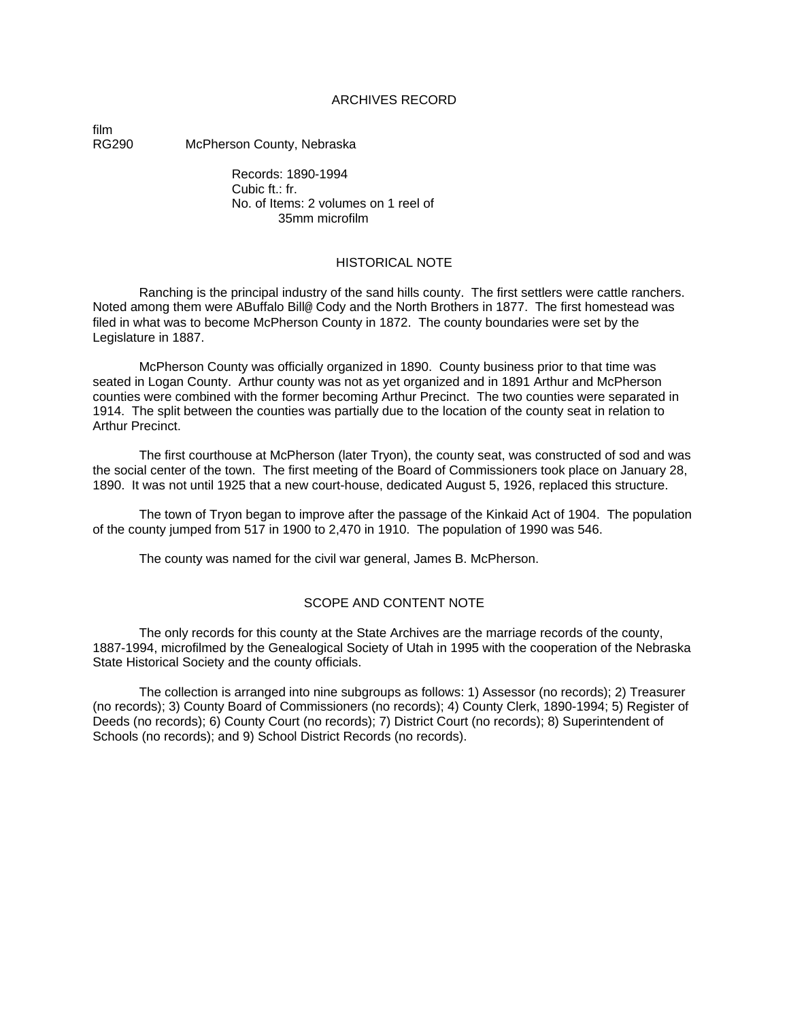## ARCHIVES RECORD

film<br>RG290

McPherson County, Nebraska

Records: 1890-1994  $C$ ubic  $ft$   $\cdot$   $fr$ . No. of Items: 2 volumes on 1 reel of 35mm microfilm

#### HISTORICAL NOTE

Ranching is the principal industry of the sand hills county. The first settlers were cattle ranchers. Noted among them were ABuffalo Bill@ Cody and the North Brothers in 1877. The first homestead was filed in what was to become McPherson County in 1872. The county boundaries were set by the Legislature in 1887.

McPherson County was officially organized in 1890. County business prior to that time was seated in Logan County. Arthur county was not as yet organized and in 1891 Arthur and McPherson counties were combined with the former becoming Arthur Precinct. The two counties were separated in 1914. The split between the counties was partially due to the location of the county seat in relation to Arthur Precinct.

The first courthouse at McPherson (later Tryon), the county seat, was constructed of sod and was the social center of the town. The first meeting of the Board of Commissioners took place on January 28, 1890. It was not until 1925 that a new court-house, dedicated August 5, 1926, replaced this structure.

The town of Tryon began to improve after the passage of the Kinkaid Act of 1904. The population of the county jumped from 517 in 1900 to 2,470 in 1910. The population of 1990 was 546.

The county was named for the civil war general, James B. McPherson.

## SCOPE AND CONTENT NOTE

The only records for this county at the State Archives are the marriage records of the county, 1887-1994, microfilmed by the Genealogical Society of Utah in 1995 with the cooperation of the Nebraska State Historical Society and the county officials.

The collection is arranged into nine subgroups as follows: 1) Assessor (no records); 2) Treasurer (no records); 3) County Board of Commissioners (no records); 4) County Clerk, 1890-1994; 5) Register of Deeds (no records); 6) County Court (no records); 7) District Court (no records); 8) Superintendent of Schools (no records); and 9) School District Records (no records).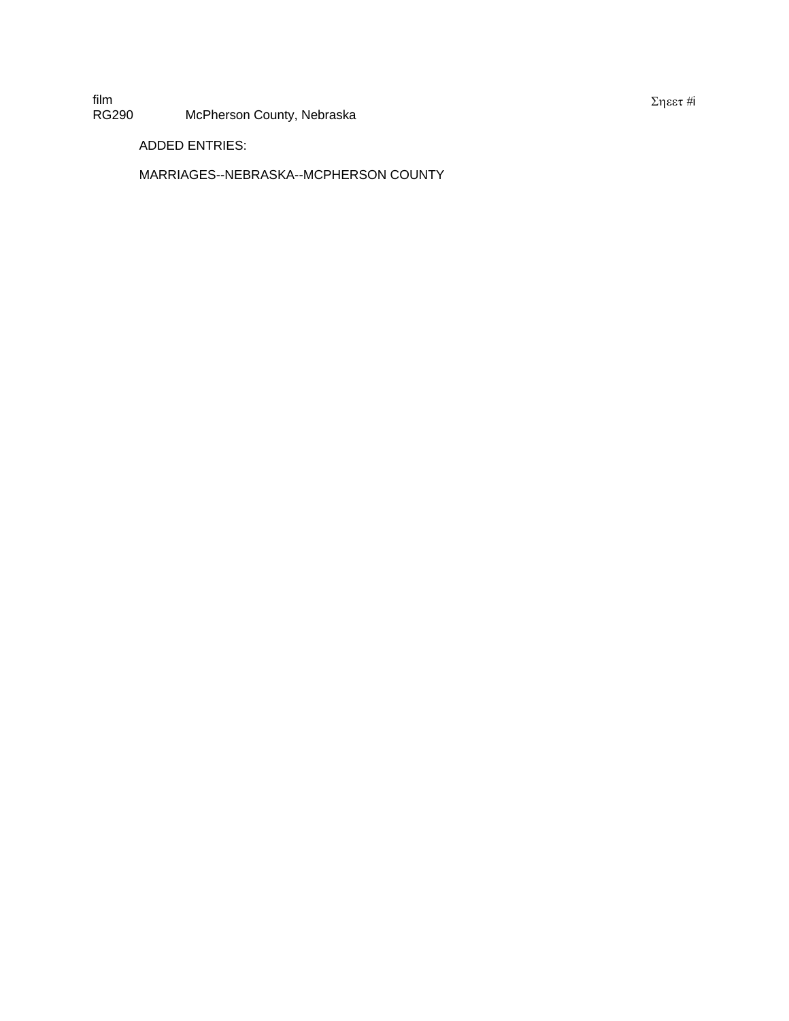film<br>RG290 McPherson County, Nebraska

ADDED ENTRIES:

MARRIAGES--NEBRASKA--MCPHERSON COUNTY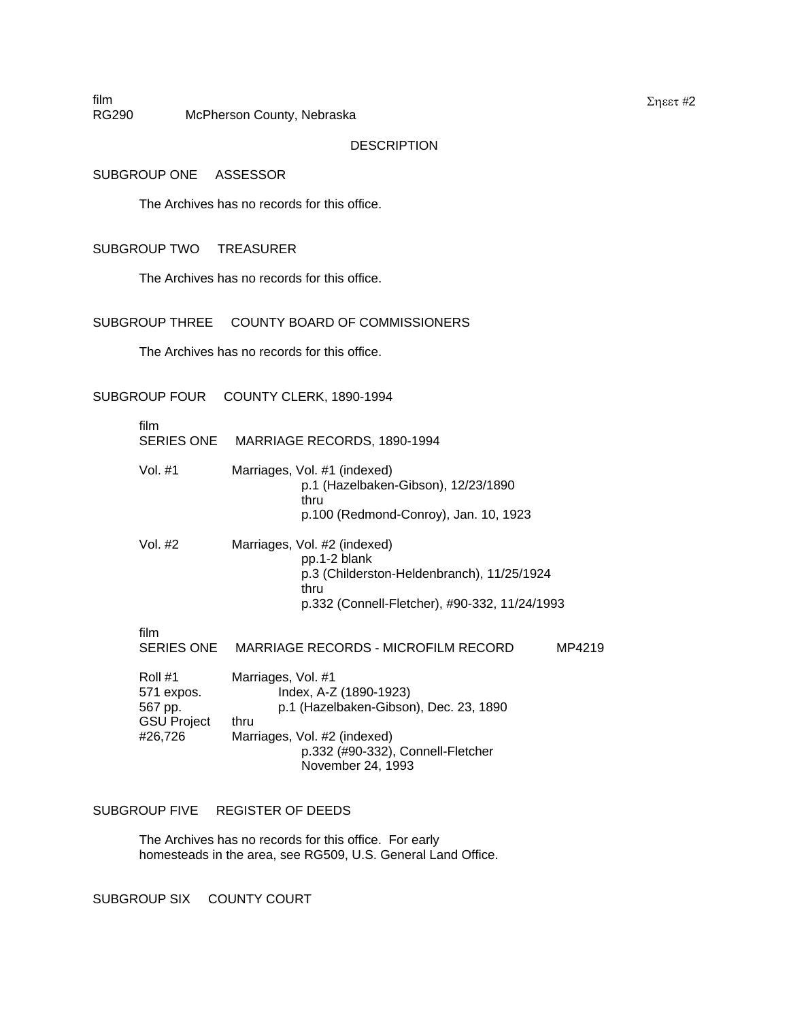RG290 McPherson County, Nebraska

DESCRIPTION

SUBGROUP ONE ASSESSOR

film

The Archives has no records for this office.

### SUBGROUP TWO TREASURER

The Archives has no records for this office.

## SUBGROUP THREE COUNTY BOARD OF COMMISSIONERS

The Archives has no records for this office.

SUBGROUP FOUR COUNTY CLERK, 1890-1994

| film                                                              | SERIES ONE MARRIAGE RECORDS, 1890-1994                                                                                                                                                   |
|-------------------------------------------------------------------|------------------------------------------------------------------------------------------------------------------------------------------------------------------------------------------|
| Vol. #1                                                           | Marriages, Vol. #1 (indexed)<br>p.1 (Hazelbaken-Gibson), 12/23/1890<br>thru<br>p.100 (Redmond-Conroy), Jan. 10, 1923                                                                     |
| Vol. #2                                                           | Marriages, Vol. #2 (indexed)<br>pp.1-2 blank<br>p.3 (Childerston-Heldenbranch), 11/25/1924<br>thru<br>p.332 (Connell-Fletcher), #90-332, 11/24/1993                                      |
| film                                                              | SERIES ONE MARRIAGE RECORDS - MICROFILM RECORD<br>MP4219                                                                                                                                 |
| Roll #1<br>571 expos.<br>567 pp.<br><b>GSU Project</b><br>#26,726 | Marriages, Vol. #1<br>Index, A-Z (1890-1923)<br>p.1 (Hazelbaken-Gibson), Dec. 23, 1890<br>thru<br>Marriages, Vol. #2 (indexed)<br>p.332 (#90-332), Connell-Fletcher<br>November 24, 1993 |

# SUBGROUP FIVE REGISTER OF DEEDS

The Archives has no records for this office. For early homesteads in the area, see RG509, U.S. General Land Office.

SUBGROUP SIX COUNTY COURT